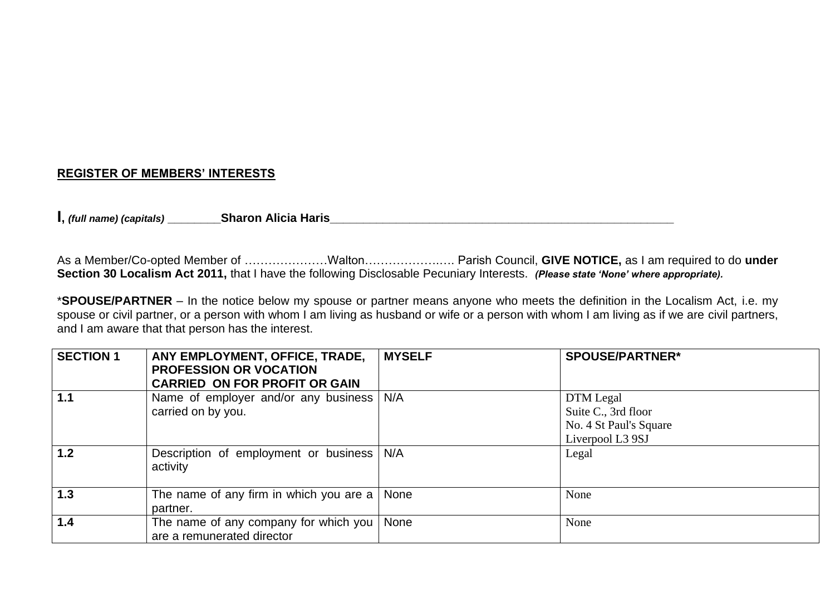## **REGISTER OF MEMBERS' INTERESTS**

**I,** *(full name) (capitals)* **\_\_\_\_\_\_\_\_Sharon Alicia Haris\_\_\_\_\_\_\_\_\_\_\_\_\_\_\_\_\_\_\_\_\_\_\_\_\_\_\_\_\_\_\_\_\_\_\_\_\_\_\_\_\_\_\_\_\_\_\_\_\_\_\_\_**

As a Member/Co-opted Member of …………………Walton……………….…. Parish Council, **GIVE NOTICE,** as I am required to do **under Section 30 Localism Act 2011,** that I have the following Disclosable Pecuniary Interests. *(Please state 'None' where appropriate).*

\***SPOUSE/PARTNER** – In the notice below my spouse or partner means anyone who meets the definition in the Localism Act, i.e. my spouse or civil partner, or a person with whom I am living as husband or wife or a person with whom I am living as if we are civil partners, and I am aware that that person has the interest.

| <b>SECTION 1</b> | ANY EMPLOYMENT, OFFICE, TRADE,<br><b>PROFESSION OR VOCATION</b><br><b>CARRIED ON FOR PROFIT OR GAIN</b> | <b>MYSELF</b> | <b>SPOUSE/PARTNER*</b>                                                         |
|------------------|---------------------------------------------------------------------------------------------------------|---------------|--------------------------------------------------------------------------------|
| 1.1              | Name of employer and/or any business   N/A<br>carried on by you.                                        |               | DTM Legal<br>Suite C., 3rd floor<br>No. 4 St Paul's Square<br>Liverpool L3 9SJ |
| 1.2              | Description of employment or business<br>activity                                                       | N/A           | Legal                                                                          |
| 1.3              | The name of any firm in which you are a $\vert$ None<br>partner.                                        |               | None                                                                           |
| 1.4              | The name of any company for which you  <br>are a remunerated director                                   | None          | None                                                                           |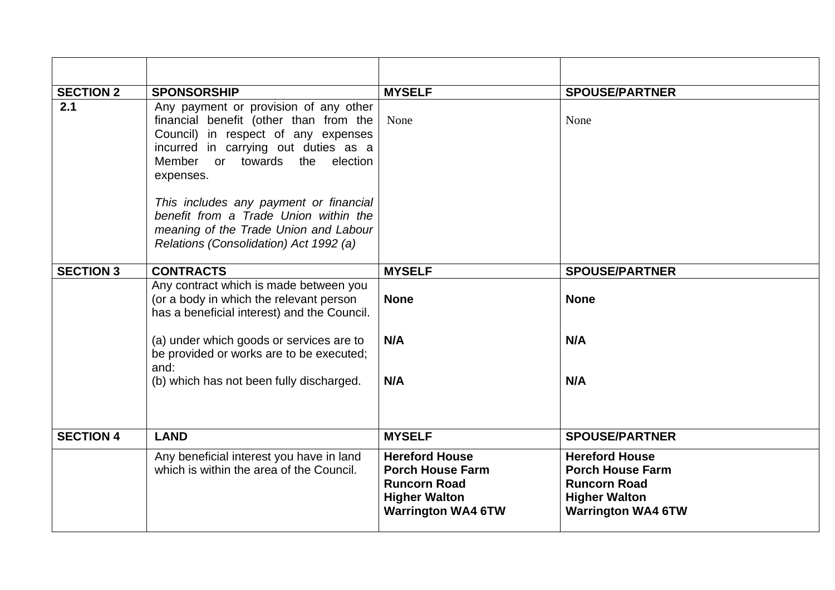| <b>SECTION 2</b> | <b>SPONSORSHIP</b>                                                                                                                                                                                               | <b>MYSELF</b>                                                                                                                | <b>SPOUSE/PARTNER</b>                                                                                                        |
|------------------|------------------------------------------------------------------------------------------------------------------------------------------------------------------------------------------------------------------|------------------------------------------------------------------------------------------------------------------------------|------------------------------------------------------------------------------------------------------------------------------|
| 2.1              | Any payment or provision of any other<br>financial benefit (other than from the<br>Council) in respect of any expenses<br>incurred in carrying out duties as a<br>or towards the election<br>Member<br>expenses. | None                                                                                                                         | None                                                                                                                         |
|                  | This includes any payment or financial<br>benefit from a Trade Union within the<br>meaning of the Trade Union and Labour<br>Relations (Consolidation) Act 1992 (a)                                               |                                                                                                                              |                                                                                                                              |
| <b>SECTION 3</b> | <b>CONTRACTS</b>                                                                                                                                                                                                 | <b>MYSELF</b>                                                                                                                | <b>SPOUSE/PARTNER</b>                                                                                                        |
|                  | Any contract which is made between you<br>(or a body in which the relevant person<br>has a beneficial interest) and the Council.                                                                                 | <b>None</b>                                                                                                                  | <b>None</b>                                                                                                                  |
|                  | (a) under which goods or services are to<br>be provided or works are to be executed;<br>and:                                                                                                                     | N/A                                                                                                                          | N/A                                                                                                                          |
|                  | (b) which has not been fully discharged.                                                                                                                                                                         | N/A                                                                                                                          | N/A                                                                                                                          |
| <b>SECTION 4</b> | <b>LAND</b>                                                                                                                                                                                                      | <b>MYSELF</b>                                                                                                                | <b>SPOUSE/PARTNER</b>                                                                                                        |
|                  | Any beneficial interest you have in land<br>which is within the area of the Council.                                                                                                                             | <b>Hereford House</b><br><b>Porch House Farm</b><br><b>Runcorn Road</b><br><b>Higher Walton</b><br><b>Warrington WA4 6TW</b> | <b>Hereford House</b><br><b>Porch House Farm</b><br><b>Runcorn Road</b><br><b>Higher Walton</b><br><b>Warrington WA4 6TW</b> |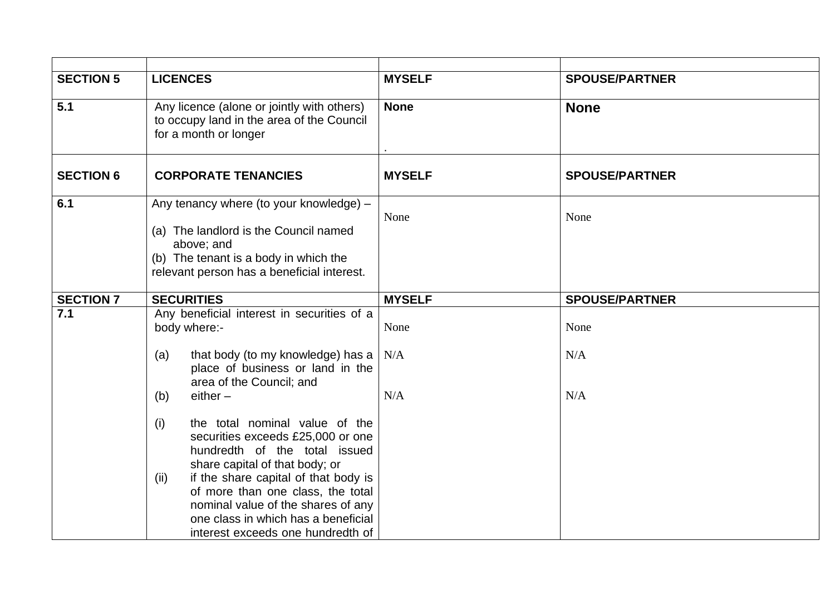| <b>SECTION 5</b> | <b>LICENCES</b>                                                                                                                                                                                     | <b>MYSELF</b> | <b>SPOUSE/PARTNER</b> |
|------------------|-----------------------------------------------------------------------------------------------------------------------------------------------------------------------------------------------------|---------------|-----------------------|
| 5.1              | Any licence (alone or jointly with others)<br>to occupy land in the area of the Council<br>for a month or longer                                                                                    | <b>None</b>   | <b>None</b>           |
| <b>SECTION 6</b> | <b>CORPORATE TENANCIES</b>                                                                                                                                                                          | <b>MYSELF</b> | <b>SPOUSE/PARTNER</b> |
| 6.1              | Any tenancy where (to your knowledge) -<br>(a) The landlord is the Council named<br>above; and<br>(b) The tenant is a body in which the<br>relevant person has a beneficial interest.               | None          | None                  |
| <b>SECTION 7</b> | <b>SECURITIES</b>                                                                                                                                                                                   | <b>MYSELF</b> | <b>SPOUSE/PARTNER</b> |
| 7.1              | Any beneficial interest in securities of a<br>body where:-                                                                                                                                          | None          | None                  |
|                  | that body (to my knowledge) has a<br>(a)<br>place of business or land in the<br>area of the Council; and                                                                                            | N/A           | N/A                   |
|                  | $either -$<br>(b)                                                                                                                                                                                   | N/A           | N/A                   |
|                  | the total nominal value of the<br>(i)<br>securities exceeds £25,000 or one<br>hundredth of the total issued<br>share capital of that body; or                                                       |               |                       |
|                  | if the share capital of that body is<br>(ii)<br>of more than one class, the total<br>nominal value of the shares of any<br>one class in which has a beneficial<br>interest exceeds one hundredth of |               |                       |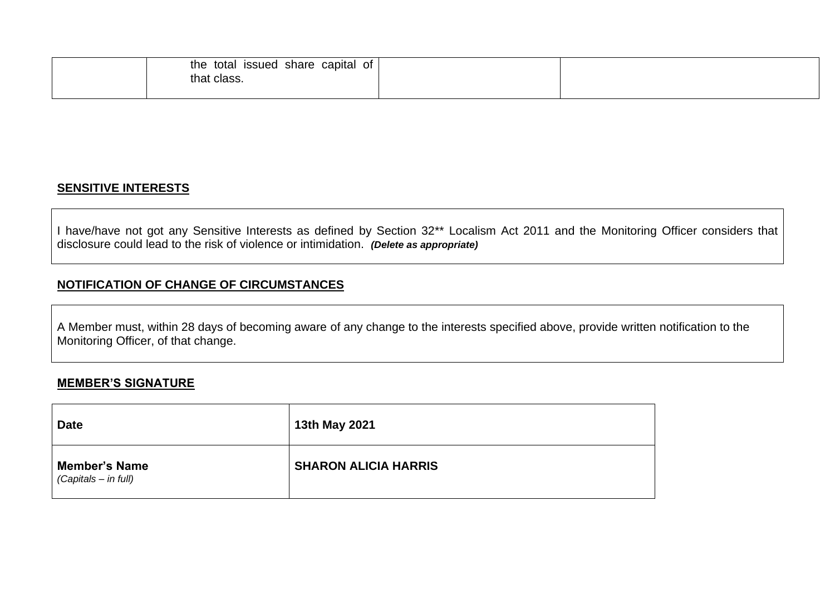| the total issued share capital of |  |
|-----------------------------------|--|
| that class.                       |  |
|                                   |  |

## **SENSITIVE INTERESTS**

I have/have not got any Sensitive Interests as defined by Section 32\*\* Localism Act 2011 and the Monitoring Officer considers that disclosure could lead to the risk of violence or intimidation. *(Delete as appropriate)*

## **NOTIFICATION OF CHANGE OF CIRCUMSTANCES**

A Member must, within 28 days of becoming aware of any change to the interests specified above, provide written notification to the Monitoring Officer, of that change.

### **MEMBER'S SIGNATURE**

| <b>Date</b>                                  | 13th May 2021               |
|----------------------------------------------|-----------------------------|
| <b>Member's Name</b><br>(Capitals - in full) | <b>SHARON ALICIA HARRIS</b> |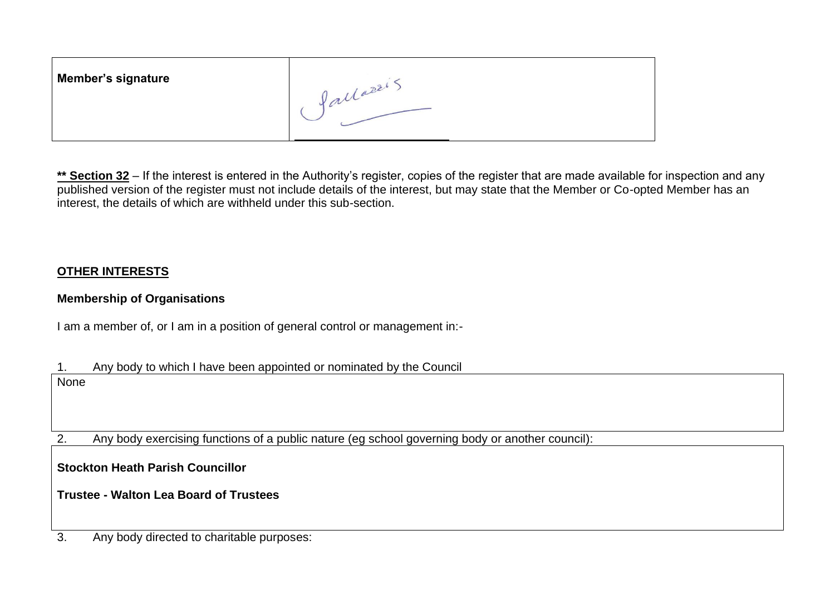| <b>Member's signature</b> | $-22$ |
|---------------------------|-------|
|                           |       |

\*\* Section 32 – If the interest is entered in the Authority's register, copies of the register that are made available for inspection and any published version of the register must not include details of the interest, but may state that the Member or Co-opted Member has an interest, the details of which are withheld under this sub-section.

## **OTHER INTERESTS**

## **Membership of Organisations**

I am a member of, or I am in a position of general control or management in:-

1. Any body to which I have been appointed or nominated by the Council None

2. Any body exercising functions of a public nature (eg school governing body or another council):

**Stockton Heath Parish Councillor**

**Trustee - Walton Lea Board of Trustees**

3. Any body directed to charitable purposes: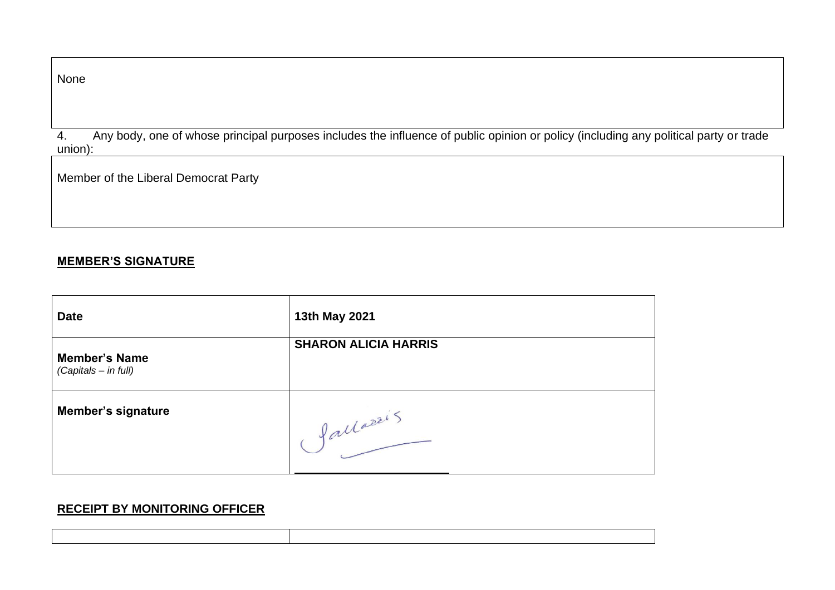| w<br>۰.<br>I |  |
|--------------|--|
|--------------|--|

4. Any body, one of whose principal purposes includes the influence of public opinion or policy (including any political party or trade union):

Member of the Liberal Democrat Party

#### **MEMBER'S SIGNATURE**

| <b>Date</b>                                  | 13th May 2021               |
|----------------------------------------------|-----------------------------|
| <b>Member's Name</b><br>(Capitals - in full) | <b>SHARON ALICIA HARRIS</b> |
| <b>Member's signature</b>                    | fallazzi 5                  |

# **RECEIPT BY MONITORING OFFICER**